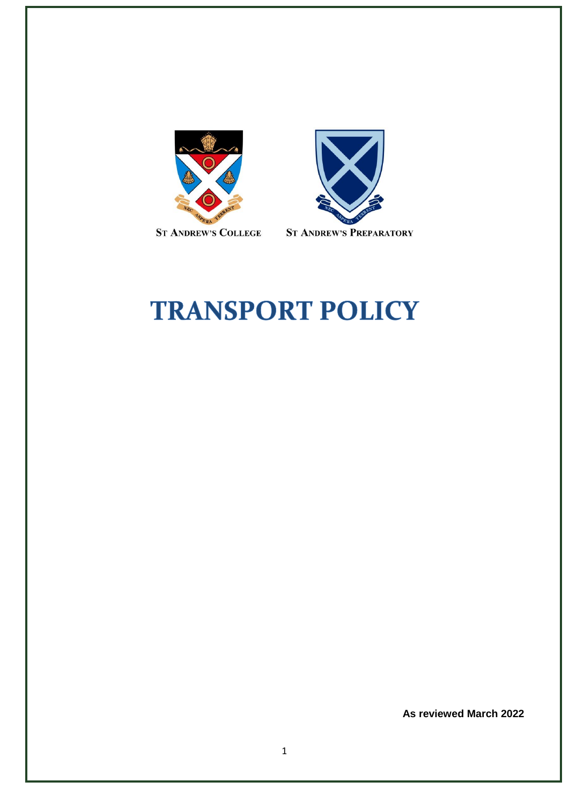



# **TRANSPORT POLICY**

**As reviewed March 2022**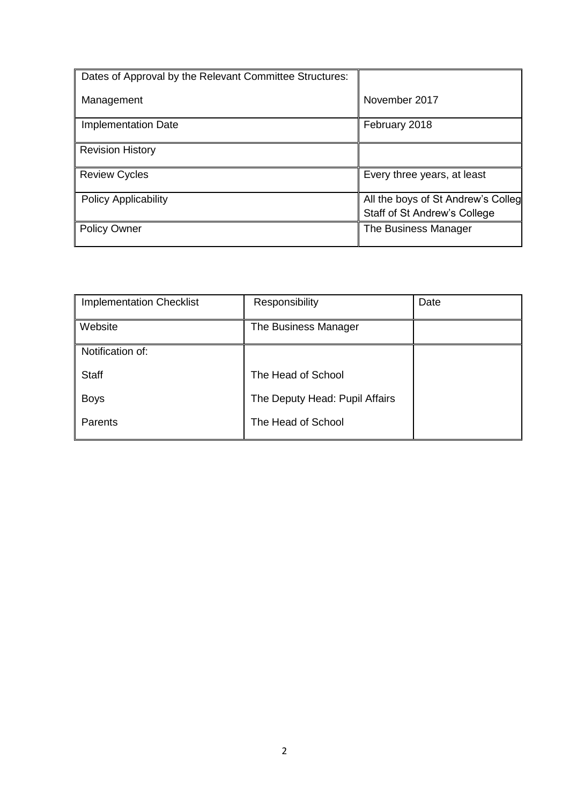| Dates of Approval by the Relevant Committee Structures: |                                                                    |
|---------------------------------------------------------|--------------------------------------------------------------------|
| Management                                              | November 2017                                                      |
| <b>Implementation Date</b>                              | February 2018                                                      |
| <b>Revision History</b>                                 |                                                                    |
| <b>Review Cycles</b>                                    | Every three years, at least                                        |
| <b>Policy Applicability</b>                             | All the boys of St Andrew's Colleg<br>Staff of St Andrew's College |
| <b>Policy Owner</b>                                     | The Business Manager                                               |

| <b>Implementation Checklist</b> | Responsibility                 | Date |
|---------------------------------|--------------------------------|------|
| Website                         | The Business Manager           |      |
| Notification of:                |                                |      |
| <b>Staff</b>                    | The Head of School             |      |
| <b>Boys</b>                     | The Deputy Head: Pupil Affairs |      |
| Parents                         | The Head of School             |      |
|                                 |                                |      |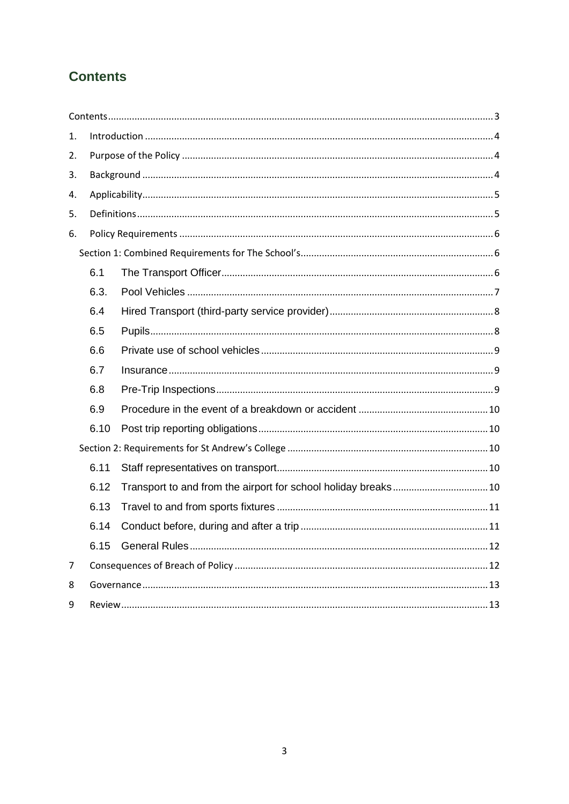# <span id="page-2-0"></span>**Contents**

| 1. |      |  |  |  |  |  |
|----|------|--|--|--|--|--|
| 2. |      |  |  |  |  |  |
| 3. |      |  |  |  |  |  |
| 4. |      |  |  |  |  |  |
| 5. |      |  |  |  |  |  |
| 6. |      |  |  |  |  |  |
|    |      |  |  |  |  |  |
|    | 6.1  |  |  |  |  |  |
|    | 6.3. |  |  |  |  |  |
|    | 6.4  |  |  |  |  |  |
|    | 6.5  |  |  |  |  |  |
|    | 6.6  |  |  |  |  |  |
|    | 6.7  |  |  |  |  |  |
|    | 6.8  |  |  |  |  |  |
|    | 6.9  |  |  |  |  |  |
|    | 6.10 |  |  |  |  |  |
|    |      |  |  |  |  |  |
|    | 6.11 |  |  |  |  |  |
|    | 6.12 |  |  |  |  |  |
|    | 6.13 |  |  |  |  |  |
|    | 6.14 |  |  |  |  |  |
|    | 6.15 |  |  |  |  |  |
| 7  |      |  |  |  |  |  |
| 8  |      |  |  |  |  |  |
| 9  |      |  |  |  |  |  |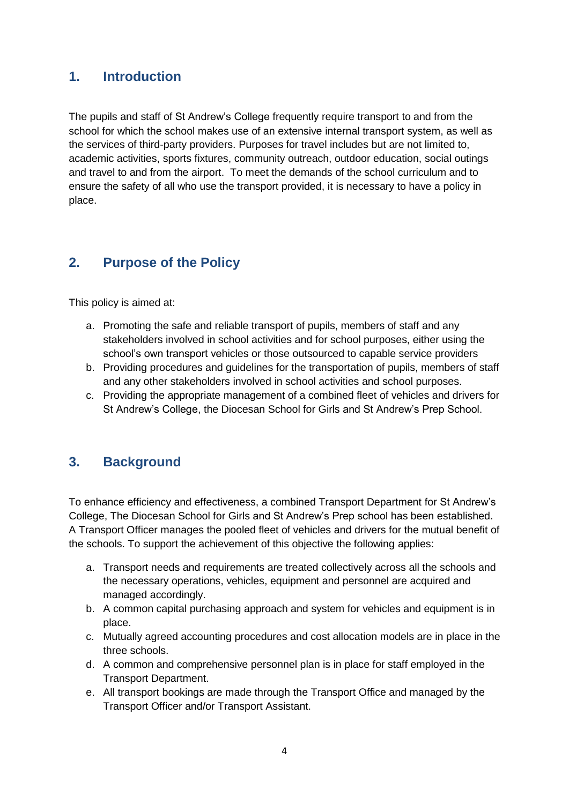# <span id="page-3-0"></span>**1. Introduction**

The pupils and staff of St Andrew's College frequently require transport to and from the school for which the school makes use of an extensive internal transport system, as well as the services of third-party providers. Purposes for travel includes but are not limited to, academic activities, sports fixtures, community outreach, outdoor education, social outings and travel to and from the airport. To meet the demands of the school curriculum and to ensure the safety of all who use the transport provided, it is necessary to have a policy in place.

# <span id="page-3-1"></span>**2. Purpose of the Policy**

This policy is aimed at:

- a. Promoting the safe and reliable transport of pupils, members of staff and any stakeholders involved in school activities and for school purposes, either using the school's own transport vehicles or those outsourced to capable service providers
- b. Providing procedures and guidelines for the transportation of pupils, members of staff and any other stakeholders involved in school activities and school purposes.
- c. Providing the appropriate management of a combined fleet of vehicles and drivers for St Andrew's College, the Diocesan School for Girls and St Andrew's Prep School.

# <span id="page-3-2"></span>**3. Background**

To enhance efficiency and effectiveness, a combined Transport Department for St Andrew's College, The Diocesan School for Girls and St Andrew's Prep school has been established. A Transport Officer manages the pooled fleet of vehicles and drivers for the mutual benefit of the schools. To support the achievement of this objective the following applies:

- a. Transport needs and requirements are treated collectively across all the schools and the necessary operations, vehicles, equipment and personnel are acquired and managed accordingly.
- b. A common capital purchasing approach and system for vehicles and equipment is in place.
- c. Mutually agreed accounting procedures and cost allocation models are in place in the three schools.
- d. A common and comprehensive personnel plan is in place for staff employed in the Transport Department.
- e. All transport bookings are made through the Transport Office and managed by the Transport Officer and/or Transport Assistant.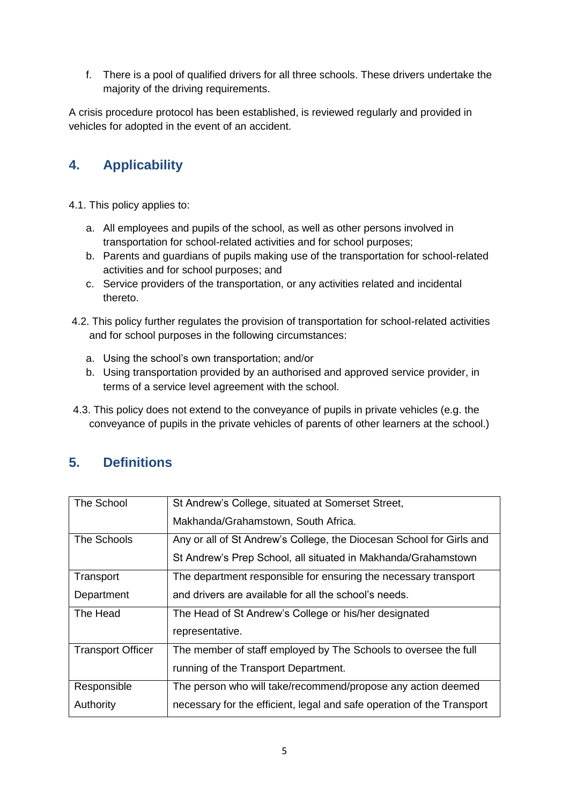f. There is a pool of qualified drivers for all three schools. These drivers undertake the majority of the driving requirements.

A crisis procedure protocol has been established, is reviewed regularly and provided in vehicles for adopted in the event of an accident.

# <span id="page-4-0"></span>**4. Applicability**

- 4.1. This policy applies to:
	- a. All employees and pupils of the school, as well as other persons involved in transportation for school-related activities and for school purposes;
	- b. Parents and guardians of pupils making use of the transportation for school-related activities and for school purposes; and
	- c. Service providers of the transportation, or any activities related and incidental thereto.
- 4.2. This policy further regulates the provision of transportation for school-related activities and for school purposes in the following circumstances:
	- a. Using the school's own transportation; and/or
	- b. Using transportation provided by an authorised and approved service provider, in terms of a service level agreement with the school.
- 4.3. This policy does not extend to the conveyance of pupils in private vehicles (e.g. the conveyance of pupils in the private vehicles of parents of other learners at the school.)

# <span id="page-4-1"></span>**5. Definitions**

| The School               | St Andrew's College, situated at Somerset Street,                      |
|--------------------------|------------------------------------------------------------------------|
|                          | Makhanda/Grahamstown, South Africa.                                    |
| The Schools              | Any or all of St Andrew's College, the Diocesan School for Girls and   |
|                          | St Andrew's Prep School, all situated in Makhanda/Grahamstown          |
| Transport                | The department responsible for ensuring the necessary transport        |
| Department               | and drivers are available for all the school's needs.                  |
| The Head                 | The Head of St Andrew's College or his/her designated                  |
|                          | representative.                                                        |
| <b>Transport Officer</b> | The member of staff employed by The Schools to oversee the full        |
|                          | running of the Transport Department.                                   |
| Responsible              | The person who will take/recommend/propose any action deemed           |
| Authority                | necessary for the efficient, legal and safe operation of the Transport |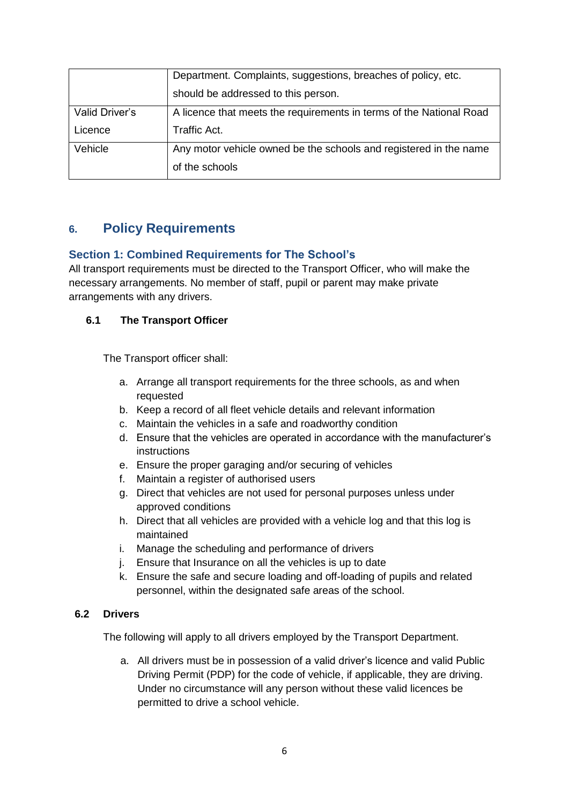|                | Department. Complaints, suggestions, breaches of policy, etc.       |
|----------------|---------------------------------------------------------------------|
|                | should be addressed to this person.                                 |
| Valid Driver's | A licence that meets the requirements in terms of the National Road |
| Licence        | Traffic Act.                                                        |
| Vehicle        | Any motor vehicle owned be the schools and registered in the name   |
|                | of the schools                                                      |

# <span id="page-5-0"></span>**6. Policy Requirements**

# <span id="page-5-1"></span>**Section 1: Combined Requirements for The School's**

All transport requirements must be directed to the Transport Officer, who will make the necessary arrangements. No member of staff, pupil or parent may make private arrangements with any drivers.

# <span id="page-5-2"></span>**6.1 The Transport Officer**

The Transport officer shall:

- a. Arrange all transport requirements for the three schools, as and when requested
- b. Keep a record of all fleet vehicle details and relevant information
- c. Maintain the vehicles in a safe and roadworthy condition
- d. Ensure that the vehicles are operated in accordance with the manufacturer's instructions
- e. Ensure the proper garaging and/or securing of vehicles
- f. Maintain a register of authorised users
- g. Direct that vehicles are not used for personal purposes unless under approved conditions
- h. Direct that all vehicles are provided with a vehicle log and that this log is maintained
- i. Manage the scheduling and performance of drivers
- j. Ensure that Insurance on all the vehicles is up to date
- k. Ensure the safe and secure loading and off-loading of pupils and related personnel, within the designated safe areas of the school.

## **6.2 Drivers**

The following will apply to all drivers employed by the Transport Department.

a. All drivers must be in possession of a valid driver's licence and valid Public Driving Permit (PDP) for the code of vehicle, if applicable, they are driving. Under no circumstance will any person without these valid licences be permitted to drive a school vehicle.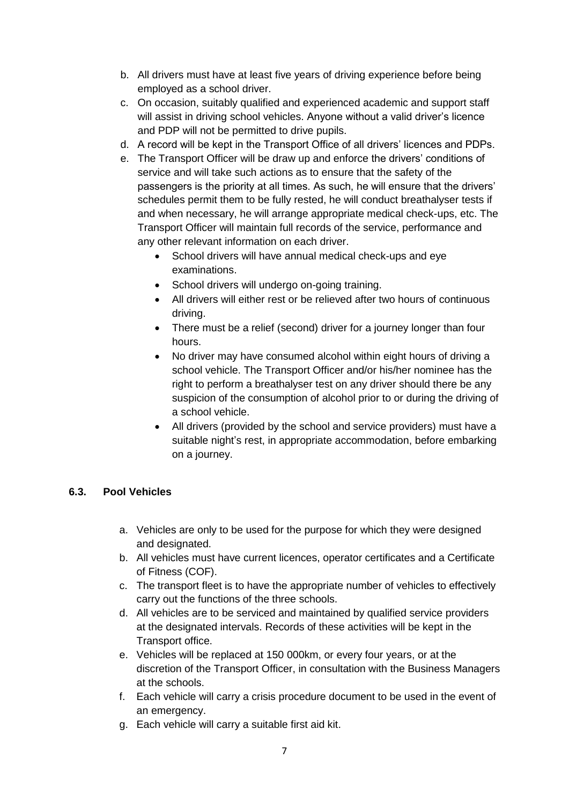- b. All drivers must have at least five years of driving experience before being employed as a school driver.
- c. On occasion, suitably qualified and experienced academic and support staff will assist in driving school vehicles. Anyone without a valid driver's licence and PDP will not be permitted to drive pupils.
- d. A record will be kept in the Transport Office of all drivers' licences and PDPs.
- e. The Transport Officer will be draw up and enforce the drivers' conditions of service and will take such actions as to ensure that the safety of the passengers is the priority at all times. As such, he will ensure that the drivers' schedules permit them to be fully rested, he will conduct breathalyser tests if and when necessary, he will arrange appropriate medical check-ups, etc. The Transport Officer will maintain full records of the service, performance and any other relevant information on each driver.
	- School drivers will have annual medical check-ups and eye examinations.
	- School drivers will undergo on-going training.
	- All drivers will either rest or be relieved after two hours of continuous driving.
	- There must be a relief (second) driver for a journey longer than four hours.
	- No driver may have consumed alcohol within eight hours of driving a school vehicle. The Transport Officer and/or his/her nominee has the right to perform a breathalyser test on any driver should there be any suspicion of the consumption of alcohol prior to or during the driving of a school vehicle.
	- All drivers (provided by the school and service providers) must have a suitable night's rest, in appropriate accommodation, before embarking on a journey.

# <span id="page-6-0"></span>**6.3. Pool Vehicles**

- a. Vehicles are only to be used for the purpose for which they were designed and designated.
- b. All vehicles must have current licences, operator certificates and a Certificate of Fitness (COF).
- c. The transport fleet is to have the appropriate number of vehicles to effectively carry out the functions of the three schools.
- d. All vehicles are to be serviced and maintained by qualified service providers at the designated intervals. Records of these activities will be kept in the Transport office.
- e. Vehicles will be replaced at 150 000km, or every four years, or at the discretion of the Transport Officer, in consultation with the Business Managers at the schools.
- f. Each vehicle will carry a crisis procedure document to be used in the event of an emergency.
- g. Each vehicle will carry a suitable first aid kit.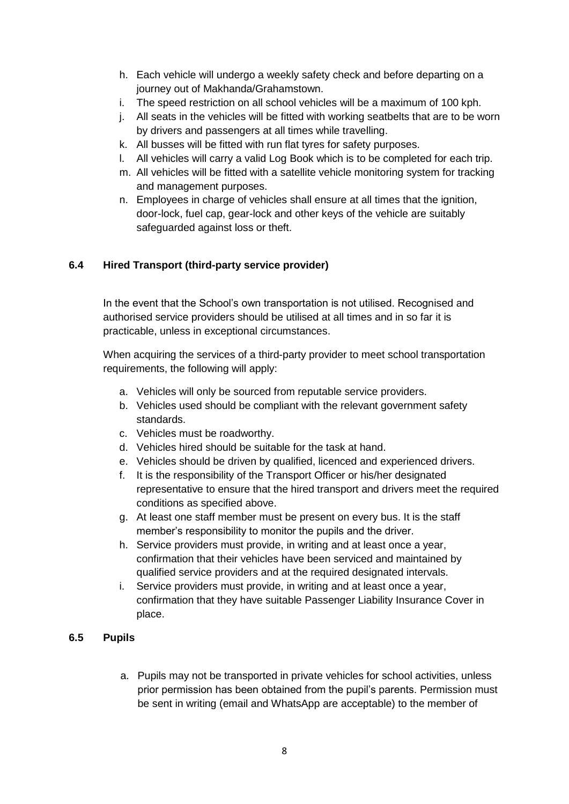- h. Each vehicle will undergo a weekly safety check and before departing on a journey out of Makhanda/Grahamstown.
- i. The speed restriction on all school vehicles will be a maximum of 100 kph.
- j. All seats in the vehicles will be fitted with working seatbelts that are to be worn by drivers and passengers at all times while travelling.
- k. All busses will be fitted with run flat tyres for safety purposes.
- l. All vehicles will carry a valid Log Book which is to be completed for each trip.
- m. All vehicles will be fitted with a satellite vehicle monitoring system for tracking and management purposes.
- n. Employees in charge of vehicles shall ensure at all times that the ignition, door-lock, fuel cap, gear-lock and other keys of the vehicle are suitably safeguarded against loss or theft.

# <span id="page-7-0"></span>**6.4 Hired Transport (third-party service provider)**

In the event that the School's own transportation is not utilised. Recognised and authorised service providers should be utilised at all times and in so far it is practicable, unless in exceptional circumstances.

When acquiring the services of a third-party provider to meet school transportation requirements, the following will apply:

- a. Vehicles will only be sourced from reputable service providers.
- b. Vehicles used should be compliant with the relevant government safety standards.
- c. Vehicles must be roadworthy.
- d. Vehicles hired should be suitable for the task at hand.
- e. Vehicles should be driven by qualified, licenced and experienced drivers.
- f. It is the responsibility of the Transport Officer or his/her designated representative to ensure that the hired transport and drivers meet the required conditions as specified above.
- g. At least one staff member must be present on every bus. It is the staff member's responsibility to monitor the pupils and the driver.
- h. Service providers must provide, in writing and at least once a year, confirmation that their vehicles have been serviced and maintained by qualified service providers and at the required designated intervals.
- i. Service providers must provide, in writing and at least once a year, confirmation that they have suitable Passenger Liability Insurance Cover in place.

# <span id="page-7-1"></span>**6.5 Pupils**

a. Pupils may not be transported in private vehicles for school activities, unless prior permission has been obtained from the pupil's parents. Permission must be sent in writing (email and WhatsApp are acceptable) to the member of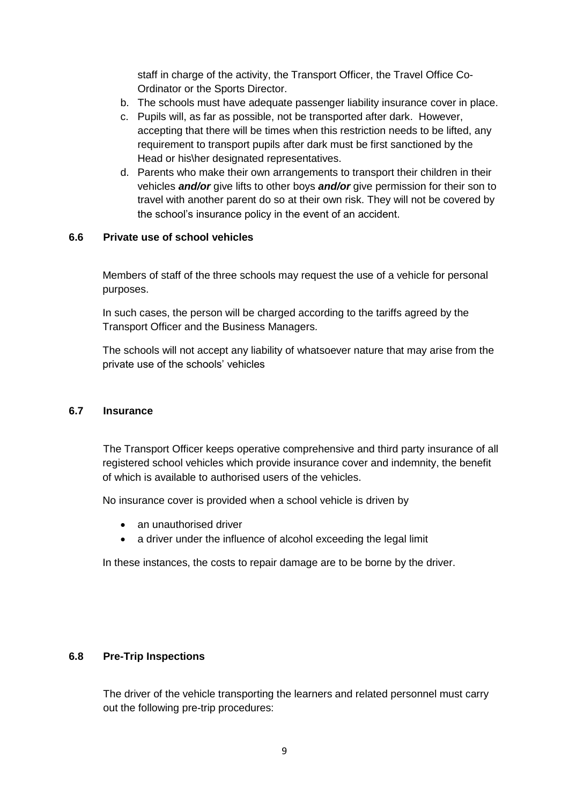staff in charge of the activity, the Transport Officer, the Travel Office Co-Ordinator or the Sports Director.

- b. The schools must have adequate passenger liability insurance cover in place.
- c. Pupils will, as far as possible, not be transported after dark. However, accepting that there will be times when this restriction needs to be lifted, any requirement to transport pupils after dark must be first sanctioned by the Head or his\her designated representatives.
- d. Parents who make their own arrangements to transport their children in their vehicles *and/or* give lifts to other boys *and/or* give permission for their son to travel with another parent do so at their own risk. They will not be covered by the school's insurance policy in the event of an accident.

## <span id="page-8-0"></span>**6.6 Private use of school vehicles**

Members of staff of the three schools may request the use of a vehicle for personal purposes.

In such cases, the person will be charged according to the tariffs agreed by the Transport Officer and the Business Managers.

The schools will not accept any liability of whatsoever nature that may arise from the private use of the schools' vehicles

#### <span id="page-8-1"></span>**6.7 Insurance**

The Transport Officer keeps operative comprehensive and third party insurance of all registered school vehicles which provide insurance cover and indemnity, the benefit of which is available to authorised users of the vehicles.

No insurance cover is provided when a school vehicle is driven by

- an unauthorised driver
- a driver under the influence of alcohol exceeding the legal limit

In these instances, the costs to repair damage are to be borne by the driver.

## <span id="page-8-2"></span>**6.8 Pre-Trip Inspections**

The driver of the vehicle transporting the learners and related personnel must carry out the following pre-trip procedures: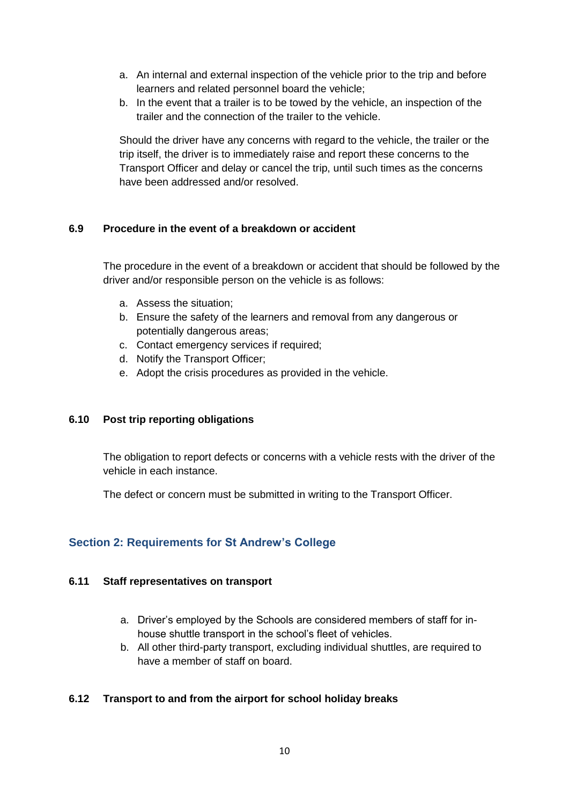- a. An internal and external inspection of the vehicle prior to the trip and before learners and related personnel board the vehicle;
- b. In the event that a trailer is to be towed by the vehicle, an inspection of the trailer and the connection of the trailer to the vehicle.

Should the driver have any concerns with regard to the vehicle, the trailer or the trip itself, the driver is to immediately raise and report these concerns to the Transport Officer and delay or cancel the trip, until such times as the concerns have been addressed and/or resolved.

## <span id="page-9-0"></span>**6.9 Procedure in the event of a breakdown or accident**

The procedure in the event of a breakdown or accident that should be followed by the driver and/or responsible person on the vehicle is as follows:

- a. Assess the situation;
- b. Ensure the safety of the learners and removal from any dangerous or potentially dangerous areas;
- c. Contact emergency services if required;
- d. Notify the Transport Officer;
- e. Adopt the crisis procedures as provided in the vehicle.

## <span id="page-9-1"></span>**6.10 Post trip reporting obligations**

The obligation to report defects or concerns with a vehicle rests with the driver of the vehicle in each instance.

The defect or concern must be submitted in writing to the Transport Officer.

# <span id="page-9-2"></span>**Section 2: Requirements for St Andrew's College**

## <span id="page-9-3"></span>**6.11 Staff representatives on transport**

- a. Driver's employed by the Schools are considered members of staff for inhouse shuttle transport in the school's fleet of vehicles.
- b. All other third-party transport, excluding individual shuttles, are required to have a member of staff on board.

# <span id="page-9-4"></span>**6.12 Transport to and from the airport for school holiday breaks**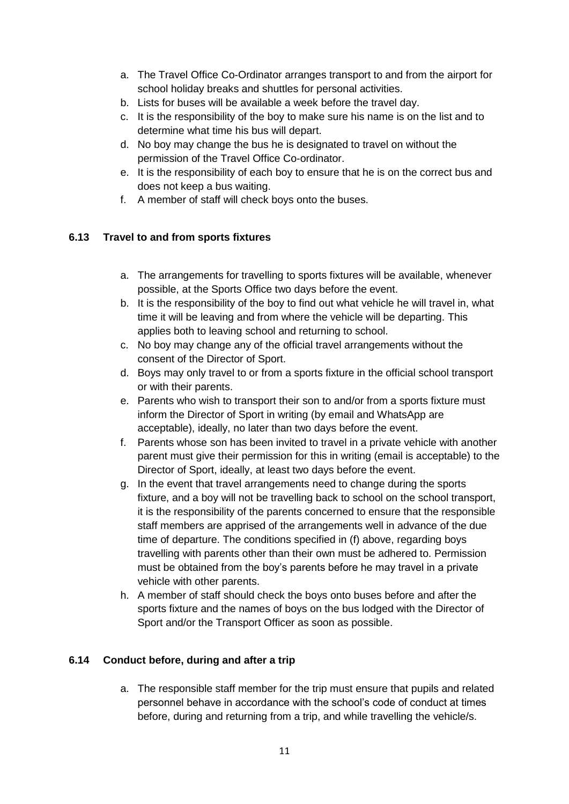- a. The Travel Office Co-Ordinator arranges transport to and from the airport for school holiday breaks and shuttles for personal activities.
- b. Lists for buses will be available a week before the travel day.
- c. It is the responsibility of the boy to make sure his name is on the list and to determine what time his bus will depart.
- d. No boy may change the bus he is designated to travel on without the permission of the Travel Office Co-ordinator.
- e. It is the responsibility of each boy to ensure that he is on the correct bus and does not keep a bus waiting.
- f. A member of staff will check boys onto the buses.

# <span id="page-10-0"></span>**6.13 Travel to and from sports fixtures**

- a. The arrangements for travelling to sports fixtures will be available, whenever possible, at the Sports Office two days before the event.
- b. It is the responsibility of the boy to find out what vehicle he will travel in, what time it will be leaving and from where the vehicle will be departing. This applies both to leaving school and returning to school.
- c. No boy may change any of the official travel arrangements without the consent of the Director of Sport.
- d. Boys may only travel to or from a sports fixture in the official school transport or with their parents.
- e. Parents who wish to transport their son to and/or from a sports fixture must inform the Director of Sport in writing (by email and WhatsApp are acceptable), ideally, no later than two days before the event.
- f. Parents whose son has been invited to travel in a private vehicle with another parent must give their permission for this in writing (email is acceptable) to the Director of Sport, ideally, at least two days before the event.
- g. In the event that travel arrangements need to change during the sports fixture, and a boy will not be travelling back to school on the school transport, it is the responsibility of the parents concerned to ensure that the responsible staff members are apprised of the arrangements well in advance of the due time of departure. The conditions specified in (f) above, regarding boys travelling with parents other than their own must be adhered to. Permission must be obtained from the boy's parents before he may travel in a private vehicle with other parents.
- h. A member of staff should check the boys onto buses before and after the sports fixture and the names of boys on the bus lodged with the Director of Sport and/or the Transport Officer as soon as possible.

# <span id="page-10-1"></span>**6.14 Conduct before, during and after a trip**

a. The responsible staff member for the trip must ensure that pupils and related personnel behave in accordance with the school's code of conduct at times before, during and returning from a trip, and while travelling the vehicle/s.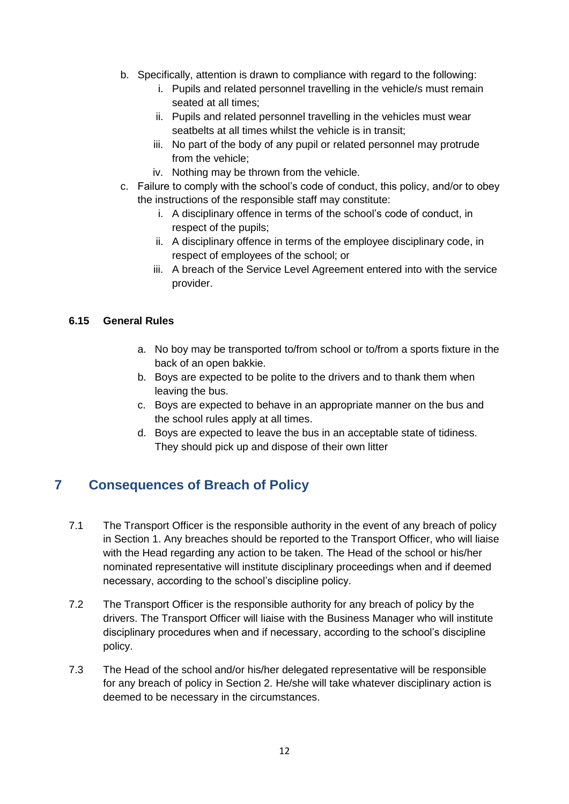- b. Specifically, attention is drawn to compliance with regard to the following:
	- i. Pupils and related personnel travelling in the vehicle/s must remain seated at all times;
	- ii. Pupils and related personnel travelling in the vehicles must wear seatbelts at all times whilst the vehicle is in transit;
	- iii. No part of the body of any pupil or related personnel may protrude from the vehicle;
	- iv. Nothing may be thrown from the vehicle.
- c. Failure to comply with the school's code of conduct, this policy, and/or to obey the instructions of the responsible staff may constitute:
	- i. A disciplinary offence in terms of the school's code of conduct, in respect of the pupils;
	- ii. A disciplinary offence in terms of the employee disciplinary code, in respect of employees of the school; or
	- iii. A breach of the Service Level Agreement entered into with the service provider.

## <span id="page-11-0"></span>**6.15 General Rules**

- a. No boy may be transported to/from school or to/from a sports fixture in the back of an open bakkie.
- b. Boys are expected to be polite to the drivers and to thank them when leaving the bus.
- c. Boys are expected to behave in an appropriate manner on the bus and the school rules apply at all times.
- d. Boys are expected to leave the bus in an acceptable state of tidiness. They should pick up and dispose of their own litter

# <span id="page-11-1"></span>**7 Consequences of Breach of Policy**

- 7.1 The Transport Officer is the responsible authority in the event of any breach of policy in Section 1. Any breaches should be reported to the Transport Officer, who will liaise with the Head regarding any action to be taken. The Head of the school or his/her nominated representative will institute disciplinary proceedings when and if deemed necessary, according to the school's discipline policy.
- 7.2 The Transport Officer is the responsible authority for any breach of policy by the drivers. The Transport Officer will liaise with the Business Manager who will institute disciplinary procedures when and if necessary, according to the school's discipline policy.
- 7.3 The Head of the school and/or his/her delegated representative will be responsible for any breach of policy in Section 2. He/she will take whatever disciplinary action is deemed to be necessary in the circumstances.